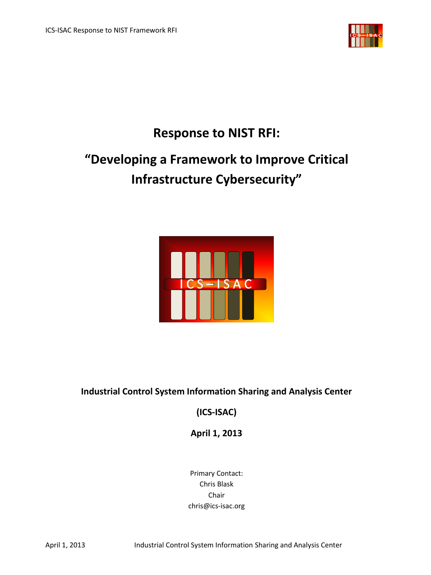

## **Response to NIST RFI:**

# **"Developing a Framework to Improve Critical Infrastructure Cybersecurity"**



## **Industrial Control System Information Sharing and Analysis Center**

**(ICS-ISAC)**

**April 1, 2013**

Primary Contact: Chris Blask Chair chris@ics-isac.org

April 1, 2013 Industrial Control System Information Sharing and Analysis Center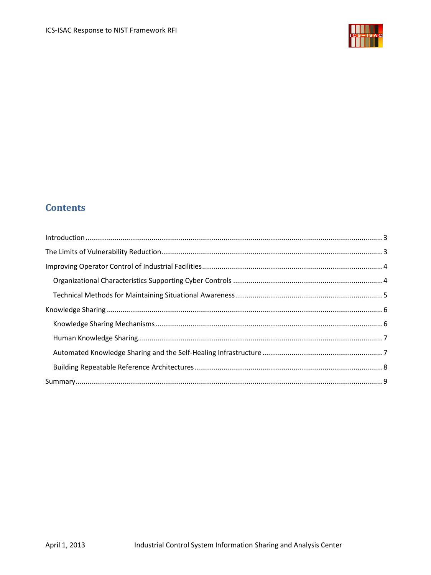

## **Contents**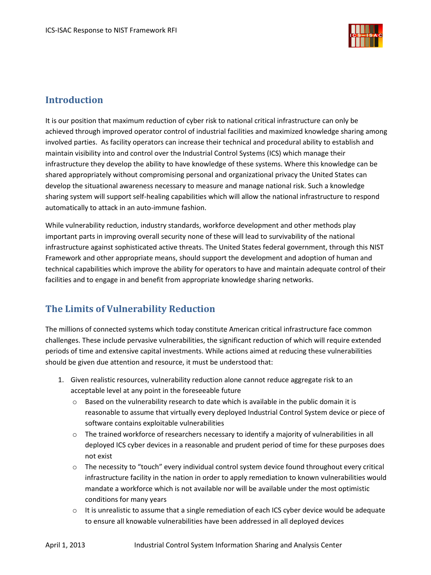

## <span id="page-2-0"></span>**Introduction**

It is our position that maximum reduction of cyber risk to national critical infrastructure can only be achieved through improved operator control of industrial facilities and maximized knowledge sharing among involved parties. As facility operators can increase their technical and procedural ability to establish and maintain visibility into and control over the Industrial Control Systems (ICS) which manage their infrastructure they develop the ability to have knowledge of these systems. Where this knowledge can be shared appropriately without compromising personal and organizational privacy the United States can develop the situational awareness necessary to measure and manage national risk. Such a knowledge sharing system will support self-healing capabilities which will allow the national infrastructure to respond automatically to attack in an auto-immune fashion.

While vulnerability reduction, industry standards, workforce development and other methods play important parts in improving overall security none of these will lead to survivability of the national infrastructure against sophisticated active threats. The United States federal government, through this NIST Framework and other appropriate means, should support the development and adoption of human and technical capabilities which improve the ability for operators to have and maintain adequate control of their facilities and to engage in and benefit from appropriate knowledge sharing networks.

## <span id="page-2-1"></span>**The Limits of Vulnerability Reduction**

The millions of connected systems which today constitute American critical infrastructure face common challenges. These include pervasive vulnerabilities, the significant reduction of which will require extended periods of time and extensive capital investments. While actions aimed at reducing these vulnerabilities should be given due attention and resource, it must be understood that:

- 1. Given realistic resources, vulnerability reduction alone cannot reduce aggregate risk to an acceptable level at any point in the foreseeable future
	- o Based on the vulnerability research to date which is available in the public domain it is reasonable to assume that virtually every deployed Industrial Control System device or piece of software contains exploitable vulnerabilities
	- o The trained workforce of researchers necessary to identify a majority of vulnerabilities in all deployed ICS cyber devices in a reasonable and prudent period of time for these purposes does not exist
	- $\circ$  The necessity to "touch" every individual control system device found throughout every critical infrastructure facility in the nation in order to apply remediation to known vulnerabilities would mandate a workforce which is not available nor will be available under the most optimistic conditions for many years
	- $\circ$  It is unrealistic to assume that a single remediation of each ICS cyber device would be adequate to ensure all knowable vulnerabilities have been addressed in all deployed devices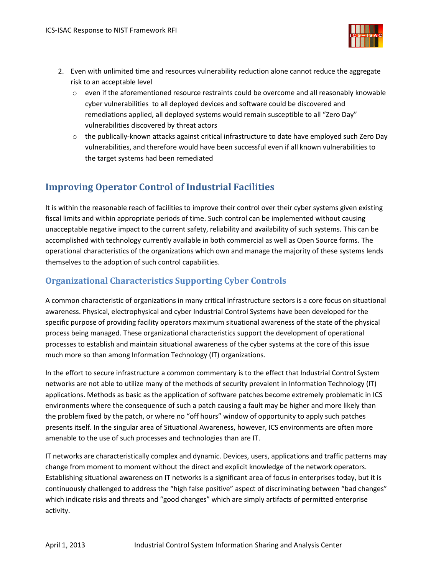

- 2. Even with unlimited time and resources vulnerability reduction alone cannot reduce the aggregate risk to an acceptable level
	- $\circ$  even if the aforementioned resource restraints could be overcome and all reasonably knowable cyber vulnerabilities to all deployed devices and software could be discovered and remediations applied, all deployed systems would remain susceptible to all "Zero Day" vulnerabilities discovered by threat actors
	- o the publically-known attacks against critical infrastructure to date have employed such Zero Day vulnerabilities, and therefore would have been successful even if all known vulnerabilities to the target systems had been remediated

## <span id="page-3-0"></span>**Improving Operator Control of Industrial Facilities**

It is within the reasonable reach of facilities to improve their control over their cyber systems given existing fiscal limits and within appropriate periods of time. Such control can be implemented without causing unacceptable negative impact to the current safety, reliability and availability of such systems. This can be accomplished with technology currently available in both commercial as well as Open Source forms. The operational characteristics of the organizations which own and manage the majority of these systems lends themselves to the adoption of such control capabilities.

#### <span id="page-3-1"></span>**Organizational Characteristics Supporting Cyber Controls**

A common characteristic of organizations in many critical infrastructure sectors is a core focus on situational awareness. Physical, electrophysical and cyber Industrial Control Systems have been developed for the specific purpose of providing facility operators maximum situational awareness of the state of the physical process being managed. These organizational characteristics support the development of operational processes to establish and maintain situational awareness of the cyber systems at the core of this issue much more so than among Information Technology (IT) organizations.

In the effort to secure infrastructure a common commentary is to the effect that Industrial Control System networks are not able to utilize many of the methods of security prevalent in Information Technology (IT) applications. Methods as basic as the application of software patches become extremely problematic in ICS environments where the consequence of such a patch causing a fault may be higher and more likely than the problem fixed by the patch, or where no "off hours" window of opportunity to apply such patches presents itself. In the singular area of Situational Awareness, however, ICS environments are often more amenable to the use of such processes and technologies than are IT.

IT networks are characteristically complex and dynamic. Devices, users, applications and traffic patterns may change from moment to moment without the direct and explicit knowledge of the network operators. Establishing situational awareness on IT networks is a significant area of focus in enterprises today, but it is continuously challenged to address the "high false positive" aspect of discriminating between "bad changes" which indicate risks and threats and "good changes" which are simply artifacts of permitted enterprise activity.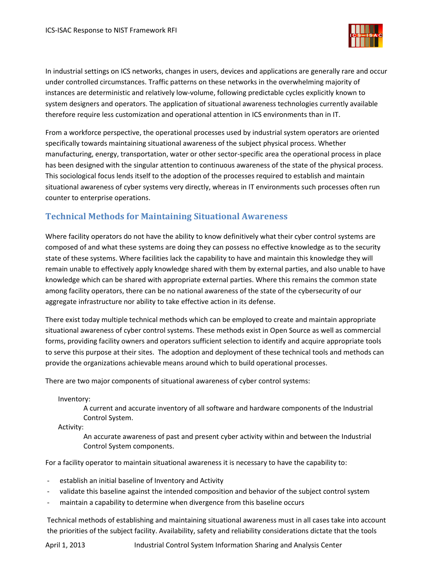

In industrial settings on ICS networks, changes in users, devices and applications are generally rare and occur under controlled circumstances. Traffic patterns on these networks in the overwhelming majority of instances are deterministic and relatively low-volume, following predictable cycles explicitly known to system designers and operators. The application of situational awareness technologies currently available therefore require less customization and operational attention in ICS environments than in IT.

From a workforce perspective, the operational processes used by industrial system operators are oriented specifically towards maintaining situational awareness of the subject physical process. Whether manufacturing, energy, transportation, water or other sector-specific area the operational process in place has been designed with the singular attention to continuous awareness of the state of the physical process. This sociological focus lends itself to the adoption of the processes required to establish and maintain situational awareness of cyber systems very directly, whereas in IT environments such processes often run counter to enterprise operations.

#### <span id="page-4-0"></span>**Technical Methods for Maintaining Situational Awareness**

Where facility operators do not have the ability to know definitively what their cyber control systems are composed of and what these systems are doing they can possess no effective knowledge as to the security state of these systems. Where facilities lack the capability to have and maintain this knowledge they will remain unable to effectively apply knowledge shared with them by external parties, and also unable to have knowledge which can be shared with appropriate external parties. Where this remains the common state among facility operators, there can be no national awareness of the state of the cybersecurity of our aggregate infrastructure nor ability to take effective action in its defense.

There exist today multiple technical methods which can be employed to create and maintain appropriate situational awareness of cyber control systems. These methods exist in Open Source as well as commercial forms, providing facility owners and operators sufficient selection to identify and acquire appropriate tools to serve this purpose at their sites. The adoption and deployment of these technical tools and methods can provide the organizations achievable means around which to build operational processes.

There are two major components of situational awareness of cyber control systems:

Inventory:

A current and accurate inventory of all software and hardware components of the Industrial Control System.

Activity:

An accurate awareness of past and present cyber activity within and between the Industrial Control System components.

For a facility operator to maintain situational awareness it is necessary to have the capability to:

- establish an initial baseline of Inventory and Activity
- validate this baseline against the intended composition and behavior of the subject control system
- maintain a capability to determine when divergence from this baseline occurs

Technical methods of establishing and maintaining situational awareness must in all cases take into account the priorities of the subject facility. Availability, safety and reliability considerations dictate that the tools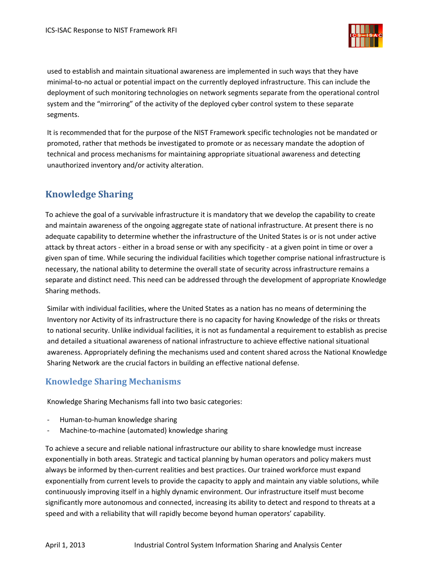

used to establish and maintain situational awareness are implemented in such ways that they have minimal-to-no actual or potential impact on the currently deployed infrastructure. This can include the deployment of such monitoring technologies on network segments separate from the operational control system and the "mirroring" of the activity of the deployed cyber control system to these separate segments.

It is recommended that for the purpose of the NIST Framework specific technologies not be mandated or promoted, rather that methods be investigated to promote or as necessary mandate the adoption of technical and process mechanisms for maintaining appropriate situational awareness and detecting unauthorized inventory and/or activity alteration.

## <span id="page-5-0"></span>**Knowledge Sharing**

To achieve the goal of a survivable infrastructure it is mandatory that we develop the capability to create and maintain awareness of the ongoing aggregate state of national infrastructure. At present there is no adequate capability to determine whether the infrastructure of the United States is or is not under active attack by threat actors - either in a broad sense or with any specificity - at a given point in time or over a given span of time. While securing the individual facilities which together comprise national infrastructure is necessary, the national ability to determine the overall state of security across infrastructure remains a separate and distinct need. This need can be addressed through the development of appropriate Knowledge Sharing methods.

Similar with individual facilities, where the United States as a nation has no means of determining the Inventory nor Activity of its infrastructure there is no capacity for having Knowledge of the risks or threats to national security. Unlike individual facilities, it is not as fundamental a requirement to establish as precise and detailed a situational awareness of national infrastructure to achieve effective national situational awareness. Appropriately defining the mechanisms used and content shared across the National Knowledge Sharing Network are the crucial factors in building an effective national defense.

#### <span id="page-5-1"></span>**Knowledge Sharing Mechanisms**

Knowledge Sharing Mechanisms fall into two basic categories:

- Human-to-human knowledge sharing
- Machine-to-machine (automated) knowledge sharing

To achieve a secure and reliable national infrastructure our ability to share knowledge must increase exponentially in both areas. Strategic and tactical planning by human operators and policy makers must always be informed by then-current realities and best practices. Our trained workforce must expand exponentially from current levels to provide the capacity to apply and maintain any viable solutions, while continuously improving itself in a highly dynamic environment. Our infrastructure itself must become significantly more autonomous and connected, increasing its ability to detect and respond to threats at a speed and with a reliability that will rapidly become beyond human operators' capability.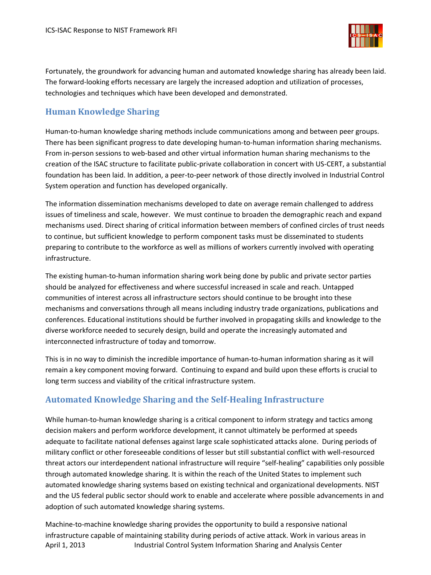

Fortunately, the groundwork for advancing human and automated knowledge sharing has already been laid. The forward-looking efforts necessary are largely the increased adoption and utilization of processes, technologies and techniques which have been developed and demonstrated.

#### <span id="page-6-0"></span>**Human Knowledge Sharing**

Human-to-human knowledge sharing methods include communications among and between peer groups. There has been significant progress to date developing human-to-human information sharing mechanisms. From in-person sessions to web-based and other virtual information human sharing mechanisms to the creation of the ISAC structure to facilitate public-private collaboration in concert with US-CERT, a substantial foundation has been laid. In addition, a peer-to-peer network of those directly involved in Industrial Control System operation and function has developed organically.

The information dissemination mechanisms developed to date on average remain challenged to address issues of timeliness and scale, however. We must continue to broaden the demographic reach and expand mechanisms used. Direct sharing of critical information between members of confined circles of trust needs to continue, but sufficient knowledge to perform component tasks must be disseminated to students preparing to contribute to the workforce as well as millions of workers currently involved with operating infrastructure.

The existing human-to-human information sharing work being done by public and private sector parties should be analyzed for effectiveness and where successful increased in scale and reach. Untapped communities of interest across all infrastructure sectors should continue to be brought into these mechanisms and conversations through all means including industry trade organizations, publications and conferences. Educational institutions should be further involved in propagating skills and knowledge to the diverse workforce needed to securely design, build and operate the increasingly automated and interconnected infrastructure of today and tomorrow.

This is in no way to diminish the incredible importance of human-to-human information sharing as it will remain a key component moving forward. Continuing to expand and build upon these efforts is crucial to long term success and viability of the critical infrastructure system.

#### <span id="page-6-1"></span>**Automated Knowledge Sharing and the Self-Healing Infrastructure**

While human-to-human knowledge sharing is a critical component to inform strategy and tactics among decision makers and perform workforce development, it cannot ultimately be performed at speeds adequate to facilitate national defenses against large scale sophisticated attacks alone. During periods of military conflict or other foreseeable conditions of lesser but still substantial conflict with well-resourced threat actors our interdependent national infrastructure will require "self-healing" capabilities only possible through automated knowledge sharing. It is within the reach of the United States to implement such automated knowledge sharing systems based on existing technical and organizational developments. NIST and the US federal public sector should work to enable and accelerate where possible advancements in and adoption of such automated knowledge sharing systems.

April 1, 2013 Industrial Control System Information Sharing and Analysis Center Machine-to-machine knowledge sharing provides the opportunity to build a responsive national infrastructure capable of maintaining stability during periods of active attack. Work in various areas in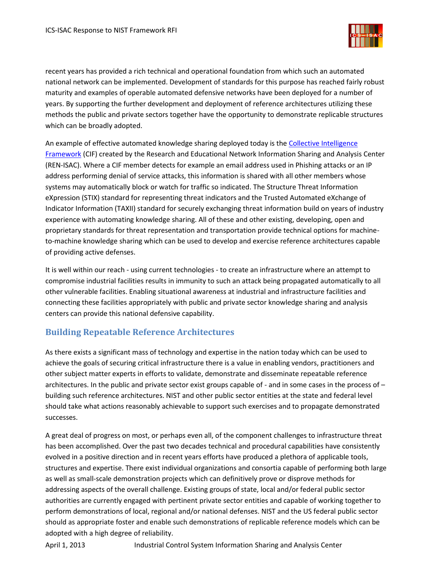

recent years has provided a rich technical and operational foundation from which such an automated national network can be implemented. Development of standards for this purpose has reached fairly robust maturity and examples of operable automated defensive networks have been deployed for a number of years. By supporting the further development and deployment of reference architectures utilizing these methods the public and private sectors together have the opportunity to demonstrate replicable structures which can be broadly adopted.

An example of effective automated knowledge sharing deployed today is the [Collective Intelligence](http://www.ren-isac.net/ses/)  [Framework](http://www.ren-isac.net/ses/) (CIF) created by the Research and Educational Network Information Sharing and Analysis Center (REN-ISAC). Where a CIF member detects for example an email address used in Phishing attacks or an IP address performing denial of service attacks, this information is shared with all other members whose systems may automatically block or watch for traffic so indicated. The Structure Threat Information eXpression (STIX) standard for representing threat indicators and the Trusted Automated eXchange of Indicator Information (TAXII) standard for securely exchanging threat information build on years of industry experience with automating knowledge sharing. All of these and other existing, developing, open and proprietary standards for threat representation and transportation provide technical options for machineto-machine knowledge sharing which can be used to develop and exercise reference architectures capable of providing active defenses.

It is well within our reach - using current technologies - to create an infrastructure where an attempt to compromise industrial facilities results in immunity to such an attack being propagated automatically to all other vulnerable facilities. Enabling situational awareness at industrial and infrastructure facilities and connecting these facilities appropriately with public and private sector knowledge sharing and analysis centers can provide this national defensive capability.

#### <span id="page-7-0"></span>**Building Repeatable Reference Architectures**

As there exists a significant mass of technology and expertise in the nation today which can be used to achieve the goals of securing critical infrastructure there is a value in enabling vendors, practitioners and other subject matter experts in efforts to validate, demonstrate and disseminate repeatable reference architectures. In the public and private sector exist groups capable of - and in some cases in the process of – building such reference architectures. NIST and other public sector entities at the state and federal level should take what actions reasonably achievable to support such exercises and to propagate demonstrated successes.

A great deal of progress on most, or perhaps even all, of the component challenges to infrastructure threat has been accomplished. Over the past two decades technical and procedural capabilities have consistently evolved in a positive direction and in recent years efforts have produced a plethora of applicable tools, structures and expertise. There exist individual organizations and consortia capable of performing both large as well as small-scale demonstration projects which can definitively prove or disprove methods for addressing aspects of the overall challenge. Existing groups of state, local and/or federal public sector authorities are currently engaged with pertinent private sector entities and capable of working together to perform demonstrations of local, regional and/or national defenses. NIST and the US federal public sector should as appropriate foster and enable such demonstrations of replicable reference models which can be adopted with a high degree of reliability.

April 1, 2013 Industrial Control System Information Sharing and Analysis Center